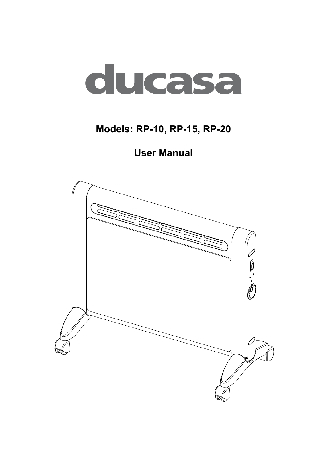

# **Models: RP-10, RP-15, RP-20**

**User Manual**

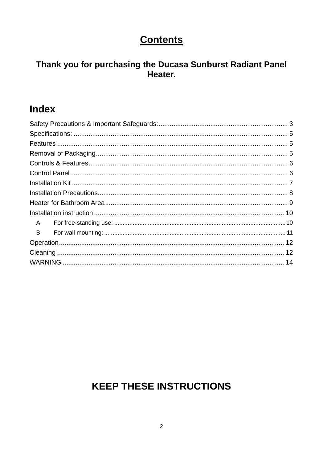#### **Contents**

#### Thank you for purchasing the Ducasa Sunburst Radiant Panel Heater.

### **Index**

| A.        |  |
|-----------|--|
| <b>B.</b> |  |
|           |  |
|           |  |
|           |  |

# **KEEP THESE INSTRUCTIONS**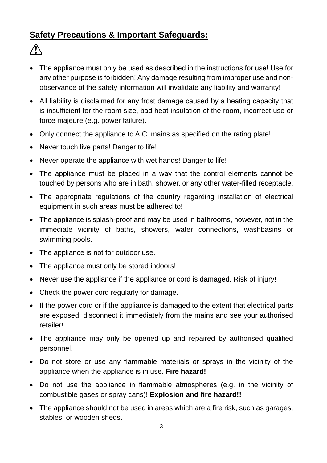#### <span id="page-2-0"></span>**Safety Precautions & Important Safeguards:**

- The appliance must only be used as described in the instructions for use! Use for any other purpose is forbidden! Any damage resulting from improper use and nonobservance of the safety information will invalidate any liability and warranty!
- All liability is disclaimed for any frost damage caused by a heating capacity that is insufficient for the room size, bad heat insulation of the room, incorrect use or force majeure (e.g. power failure).
- Only connect the appliance to A.C. mains as specified on the rating plate!
- Never touch live parts! Danger to life!
- Never operate the appliance with wet hands! Danger to life!
- The appliance must be placed in a way that the control elements cannot be touched by persons who are in bath, shower, or any other water-filled receptacle.
- The appropriate regulations of the country regarding installation of electrical equipment in such areas must be adhered to!
- The appliance is splash-proof and may be used in bathrooms, however, not in the immediate vicinity of baths, showers, water connections, washbasins or swimming pools.
- The appliance is not for outdoor use.
- The appliance must only be stored indoors!
- Never use the appliance if the appliance or cord is damaged. Risk of injury!
- Check the power cord regularly for damage.
- If the power cord or if the appliance is damaged to the extent that electrical parts are exposed, disconnect it immediately from the mains and see your authorised retailer!
- The appliance may only be opened up and repaired by authorised qualified personnel.
- Do not store or use any flammable materials or sprays in the vicinity of the appliance when the appliance is in use. **Fire hazard!**
- Do not use the appliance in flammable atmospheres (e.g. in the vicinity of combustible gases or spray cans)! **Explosion and fire hazard!!**
- The appliance should not be used in areas which are a fire risk, such as garages, stables, or wooden sheds.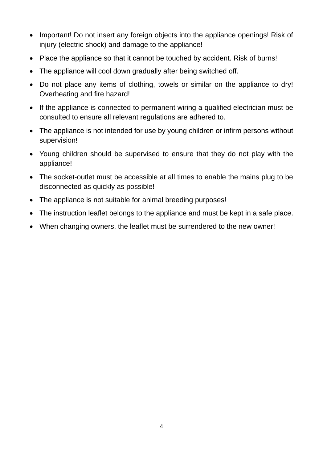- Important! Do not insert any foreign objects into the appliance openings! Risk of injury (electric shock) and damage to the appliance!
- Place the appliance so that it cannot be touched by accident. Risk of burns!
- The appliance will cool down gradually after being switched off.
- Do not place any items of clothing, towels or similar on the appliance to dry! Overheating and fire hazard!
- If the appliance is connected to permanent wiring a qualified electrician must be consulted to ensure all relevant regulations are adhered to.
- The appliance is not intended for use by young children or infirm persons without supervision!
- Young children should be supervised to ensure that they do not play with the appliance!
- The socket-outlet must be accessible at all times to enable the mains plug to be disconnected as quickly as possible!
- The appliance is not suitable for animal breeding purposes!
- The instruction leaflet belongs to the appliance and must be kept in a safe place.
- When changing owners, the leaflet must be surrendered to the new owner!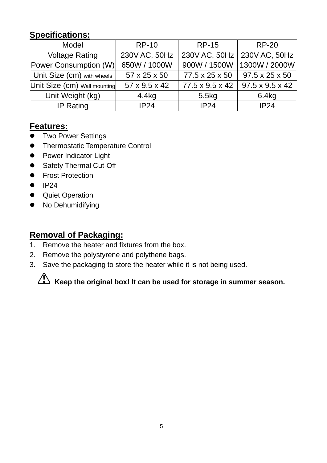#### <span id="page-4-0"></span>**Specifications:**

| Model                        | <b>RP-10</b><br><b>RP-15</b> |                 | <b>RP-20</b>                  |  |
|------------------------------|------------------------------|-----------------|-------------------------------|--|
| <b>Voltage Rating</b>        | 230V AC, 50Hz                |                 | 230V AC, 50Hz   230V AC, 50Hz |  |
| <b>Power Consumption (W)</b> | 650W / 1000W                 | 900W / 1500W    | 1300W / 2000W                 |  |
| Unit Size (cm) with wheels   | 57 x 25 x 50                 | 77.5 x 25 x 50  | 97.5 x 25 x 50                |  |
| Unit Size (cm) Wall mounting | 57 x 9.5 x 42                | 77.5 x 9.5 x 42 | $97.5 \times 9.5 \times 42$   |  |
| Unit Weight (kg)             | 4.4kg                        | 5.5kg           | 6.4kg                         |  |
| IP24<br><b>IP Rating</b>     |                              | IP24            | IP24                          |  |

#### <span id="page-4-1"></span>**Features:**

- **•** Two Power Settings
- **•** Thermostatic Temperature Control
- Power Indicator Light
- Safety Thermal Cut-Off
- **•** Frost Protection
- $\bullet$  IP24
- **•** Quiet Operation
- No Dehumidifying

#### <span id="page-4-2"></span>**Removal of Packaging:**

- 1. Remove the heater and fixtures from the box.
- 2. Remove the polystyrene and polythene bags.
- 3. Save the packaging to store the heater while it is not being used.

# **Keep the original box! It can be used for storage in summer season.**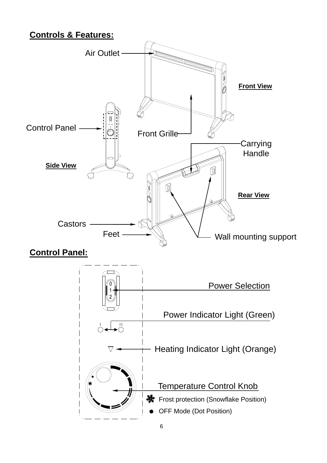#### <span id="page-5-0"></span>**Controls & Features:**

<span id="page-5-1"></span>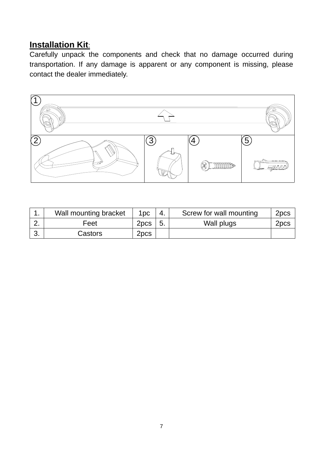#### <span id="page-6-0"></span>**Installation Kit**:

Carefully unpack the components and check that no damage occurred during transportation. If any damage is apparent or any component is missing, please contact the dealer immediately.



|          | Wall mounting bracket | 1pc              | -4. | Screw for wall mounting | 2 <sub>pcs</sub> |
|----------|-----------------------|------------------|-----|-------------------------|------------------|
| <u>.</u> | Feet                  | 2 <sub>pcs</sub> | ්ට. | Wall plugs              | 2pcs             |
|          | Castors               | 2 <sub>pcs</sub> |     |                         |                  |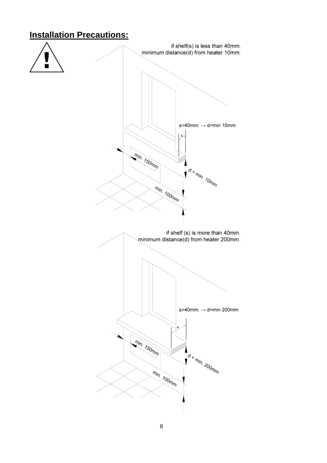#### <span id="page-7-0"></span>**Installation Precautions:**

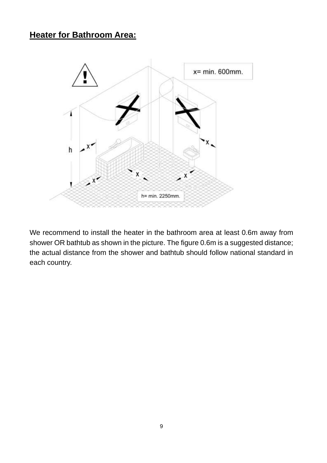#### <span id="page-8-0"></span>**Heater for Bathroom Area:**



We recommend to install the heater in the bathroom area at least 0.6m away from shower OR bathtub as shown in the picture. The figure 0.6m is a suggested distance; the actual distance from the shower and bathtub should follow national standard in each country.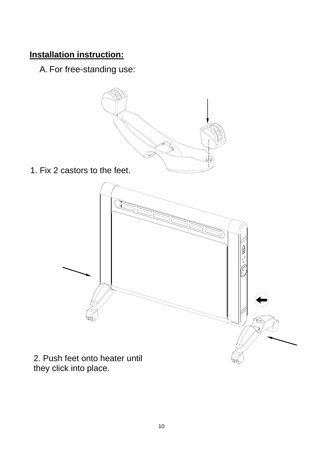#### <span id="page-9-1"></span><span id="page-9-0"></span>**Installation instruction:**

A. For free-standing use:



1. Fix 2 castors to the feet.



they click into place.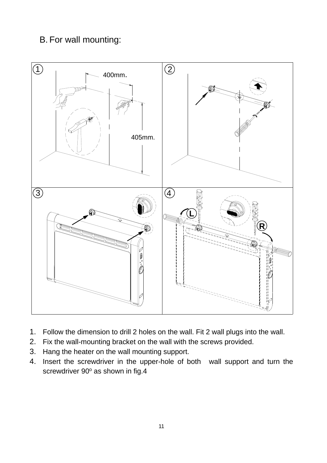#### <span id="page-10-0"></span>B. For wall mounting:



- 1. Follow the dimension to drill 2 holes on the wall. Fit 2 wall plugs into the wall.
- 2. Fix the wall-mounting bracket on the wall with the screws provided.
- 3. Hang the heater on the wall mounting support.
- 4. Insert the screwdriver in the upper-hole of both wall support and turn the screwdriver 90° as shown in fig.4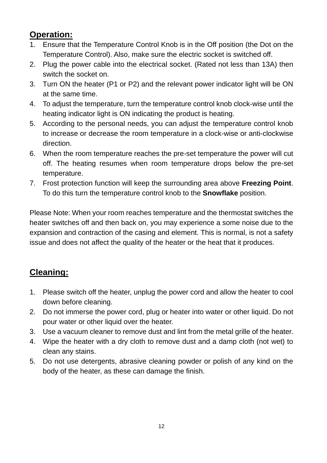#### <span id="page-11-0"></span>**Operation:**

- 1. Ensure that the Temperature Control Knob is in the Off position (the Dot on the Temperature Control). Also, make sure the electric socket is switched off.
- 2. Plug the power cable into the electrical socket. (Rated not less than 13A) then switch the socket on.
- 3. Turn ON the heater (P1 or P2) and the relevant power indicator light will be ON at the same time.
- 4. To adjust the temperature, turn the temperature control knob clock-wise until the heating indicator light is ON indicating the product is heating.
- 5. According to the personal needs, you can adjust the temperature control knob to increase or decrease the room temperature in a clock-wise or anti-clockwise direction.
- 6. When the room temperature reaches the pre-set temperature the power will cut off. The heating resumes when room temperature drops below the pre-set temperature.
- 7. Frost protection function will keep the surrounding area above **Freezing Point**. To do this turn the temperature control knob to the **Snowflake** position.

Please Note: When your room reaches temperature and the thermostat switches the heater switches off and then back on, you may experience a some noise due to the expansion and contraction of the casing and element. This is normal, is not a safety issue and does not affect the quality of the heater or the heat that it produces.

#### <span id="page-11-1"></span>**Cleaning:**

- 1. Please switch off the heater, unplug the power cord and allow the heater to cool down before cleaning.
- 2. Do not immerse the power cord, plug or heater into water or other liquid. Do not pour water or other liquid over the heater.
- 3. Use a vacuum cleaner to remove dust and lint from the metal grille of the heater.
- 4. Wipe the heater with a dry cloth to remove dust and a damp cloth (not wet) to clean any stains.
- 5. Do not use detergents, abrasive cleaning powder or polish of any kind on the body of the heater, as these can damage the finish.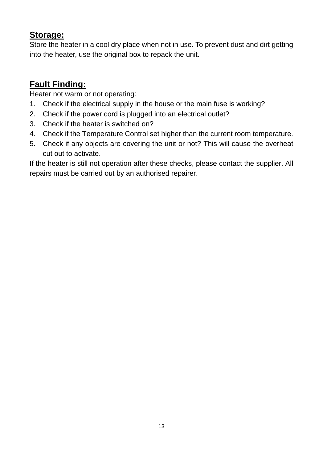#### **Storage:**

Store the heater in a cool dry place when not in use. To prevent dust and dirt getting into the heater, use the original box to repack the unit.

#### **Fault Finding:**

Heater not warm or not operating:

- 1. Check if the electrical supply in the house or the main fuse is working?
- 2. Check if the power cord is plugged into an electrical outlet?
- 3. Check if the heater is switched on?
- 4. Check if the Temperature Control set higher than the current room temperature.
- 5. Check if any objects are covering the unit or not? This will cause the overheat cut out to activate.

If the heater is still not operation after these checks, please contact the supplier. All repairs must be carried out by an authorised repairer.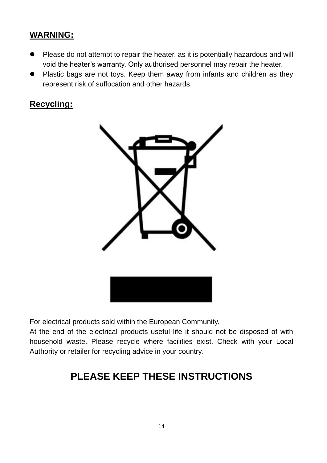#### <span id="page-13-0"></span>**WARNING:**

- Please do not attempt to repair the heater, as it is potentially hazardous and will void the heater's warranty. Only authorised personnel may repair the heater.
- Plastic bags are not toys. Keep them away from infants and children as they represent risk of suffocation and other hazards.

#### **Recycling:**



For electrical products sold within the European Community.

At the end of the electrical products useful life it should not be disposed of with household waste. Please recycle where facilities exist. Check with your Local Authority or retailer for recycling advice in your country.

## **PLEASE KEEP THESE INSTRUCTIONS**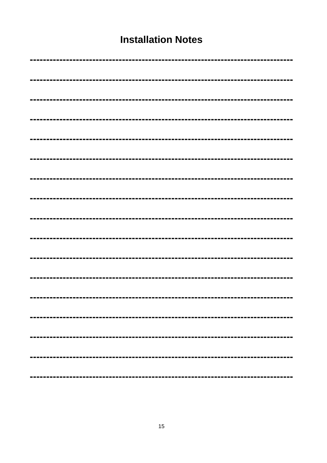#### **Installation Notes**